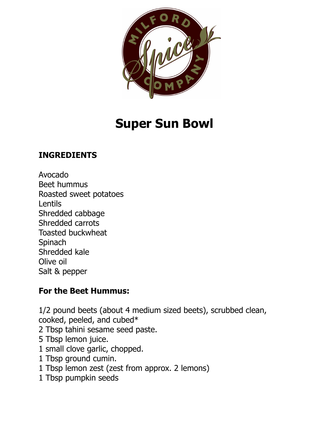

# **Super Sun Bowl**

## **INGREDIENTS**

Avocado Beet hummus Roasted sweet potatoes Lentils Shredded cabbage Shredded carrots Toasted buckwheat **Spinach** Shredded kale Olive oil Salt & pepper

#### **For the Beet Hummus:**

1/2 pound beets (about 4 medium sized beets), scrubbed clean, cooked, peeled, and cubed\* 2 Tbsp tahini sesame seed paste. 5 Tbsp lemon juice. 1 small clove garlic, chopped. 1 Tbsp ground cumin. 1 Tbsp lemon zest (zest from approx. 2 lemons) 1 Tbsp pumpkin seeds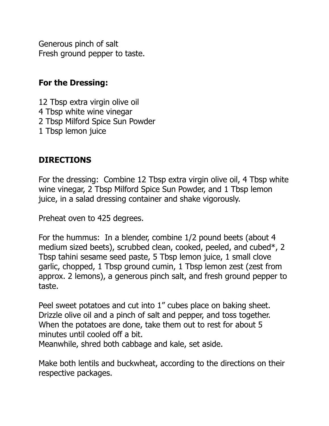Generous pinch of salt Fresh ground pepper to taste.

#### **For the Dressing:**

12 Tbsp extra virgin olive oil 4 Tbsp white wine vinegar 2 Tbsp Milford Spice Sun Powder 1 Tbsp lemon juice

### **DIRECTIONS**

For the dressing: Combine 12 Tbsp extra virgin olive oil, 4 Tbsp white wine vinegar, 2 Tbsp Milford Spice Sun Powder, and 1 Tbsp lemon juice, in a salad dressing container and shake vigorously.

Preheat oven to 425 degrees.

For the hummus: In a blender, combine 1/2 pound beets (about 4 medium sized beets), scrubbed clean, cooked, peeled, and cubed\*, 2 Tbsp tahini sesame seed paste, 5 Tbsp lemon juice, 1 small clove garlic, chopped, 1 Tbsp ground cumin, 1 Tbsp lemon zest (zest from approx. 2 lemons), a generous pinch salt, and fresh ground pepper to taste.

Peel sweet potatoes and cut into 1" cubes place on baking sheet. Drizzle olive oil and a pinch of salt and pepper, and toss together. When the potatoes are done, take them out to rest for about 5 minutes until cooled off a bit.

Meanwhile, shred both cabbage and kale, set aside.

Make both lentils and buckwheat, according to the directions on their respective packages.